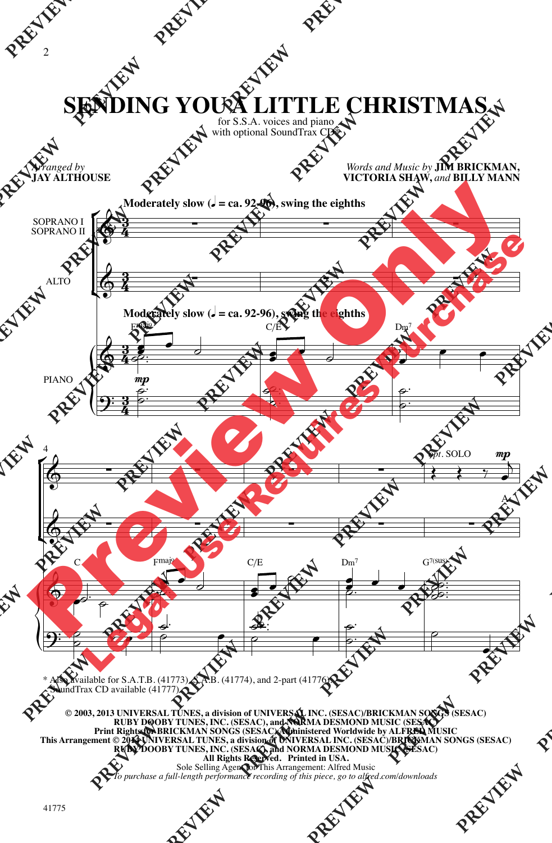## **SENDING YOU A LITTLE CHRISTMAS**

for S.S.A. voices and piano with optional SoundTrax CD\*

*Arranged by* **JAY ALTHOUSE**

*Words and Music by* **JIM BRICKMAN, VICTORIA SHAW,** *and* **BILLY MANN**



**This Arrangement © 2014 UNIVERSAL TUNES, a division of UNIVERSAL INC. (SESAC)/BRICKMAN SONGS (SESAC) RUBY DOOBY TUNES, INC. (SESAC), and NORMA DESMOND MUSIC (SESAC) All Rights Reserved. Printed in USA.**

Sole Selling Agent for This Arrangement: Alfred Music

*To purchase a full-length performance recording of this piece, go to alfred.com/downloads*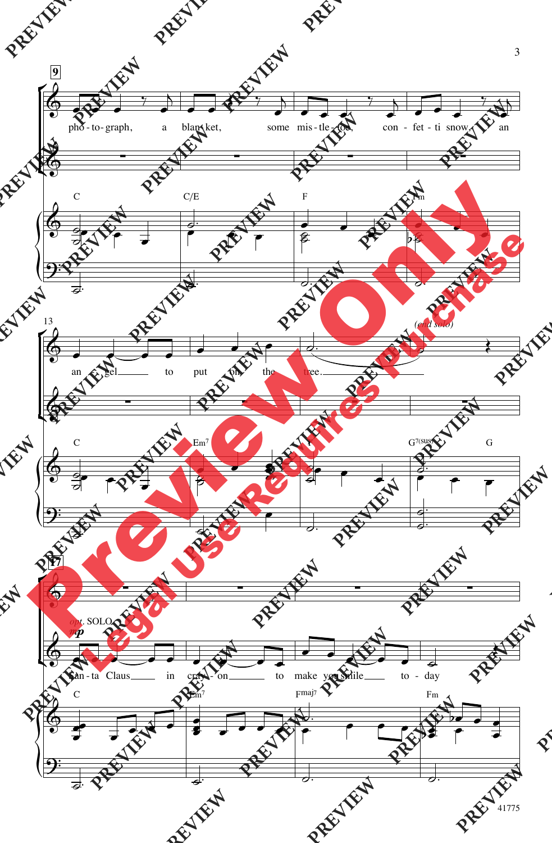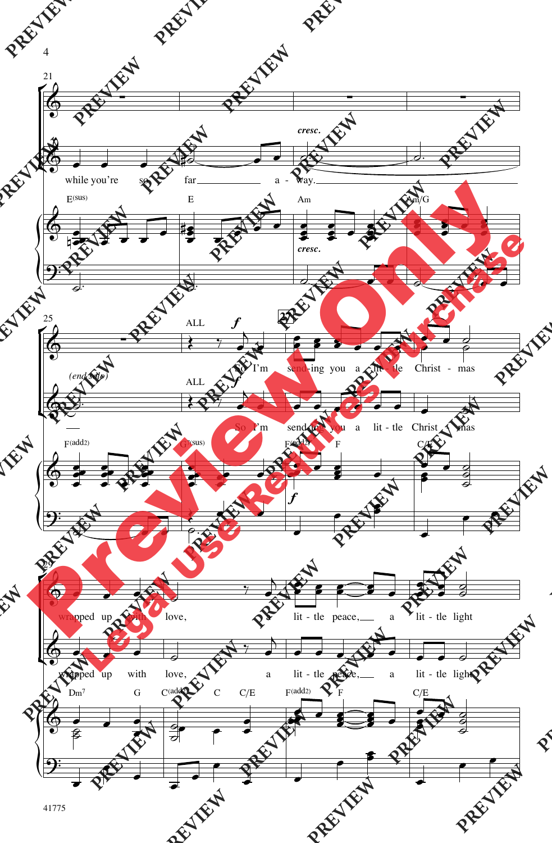

4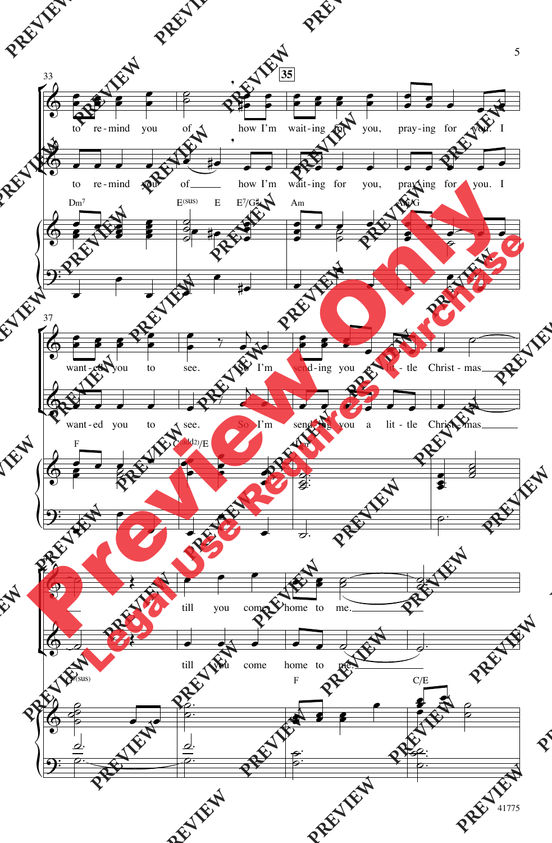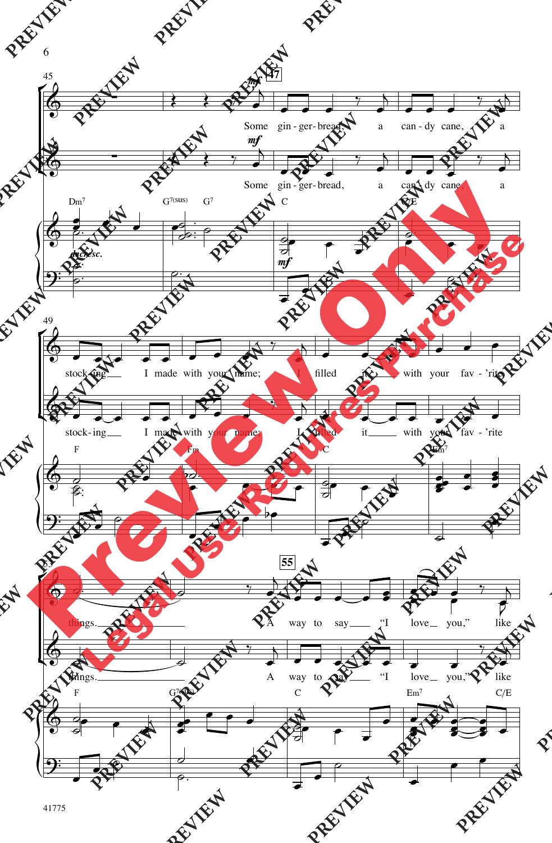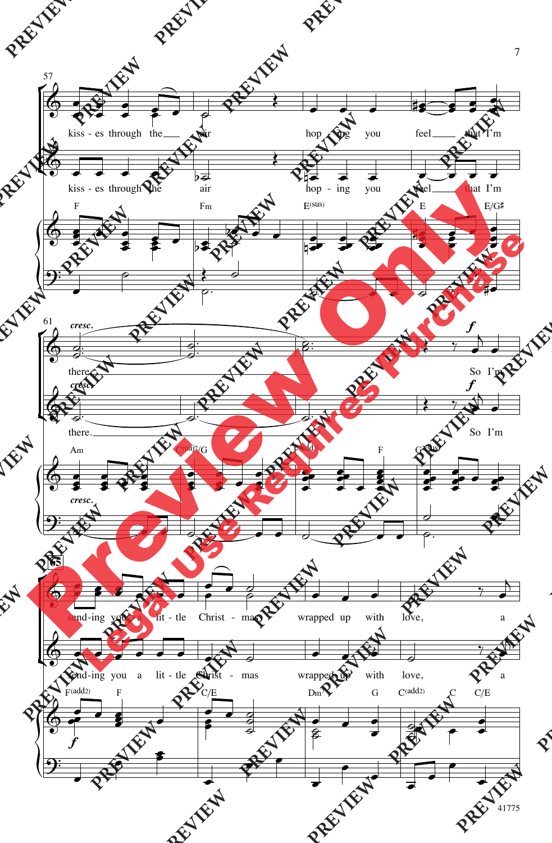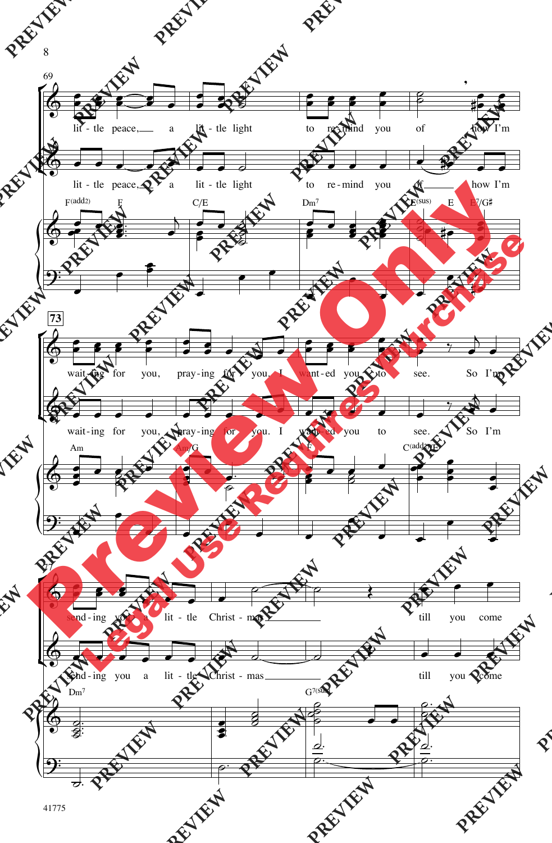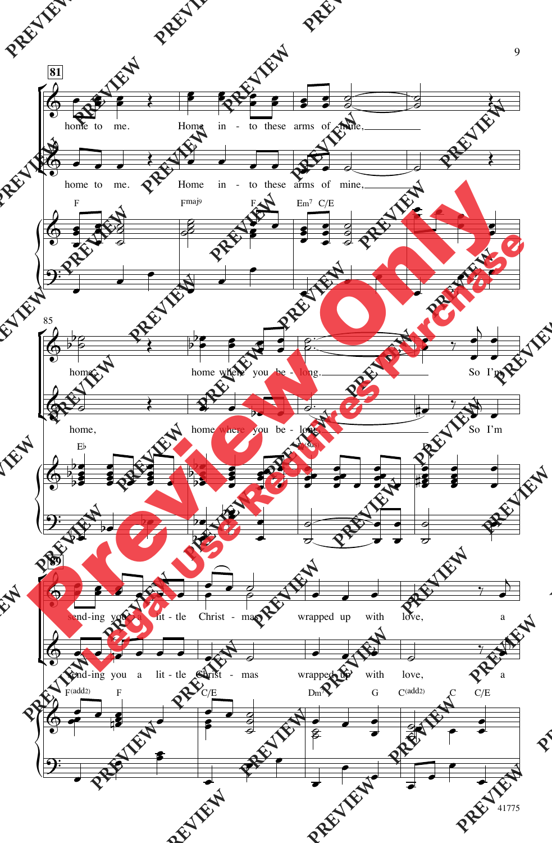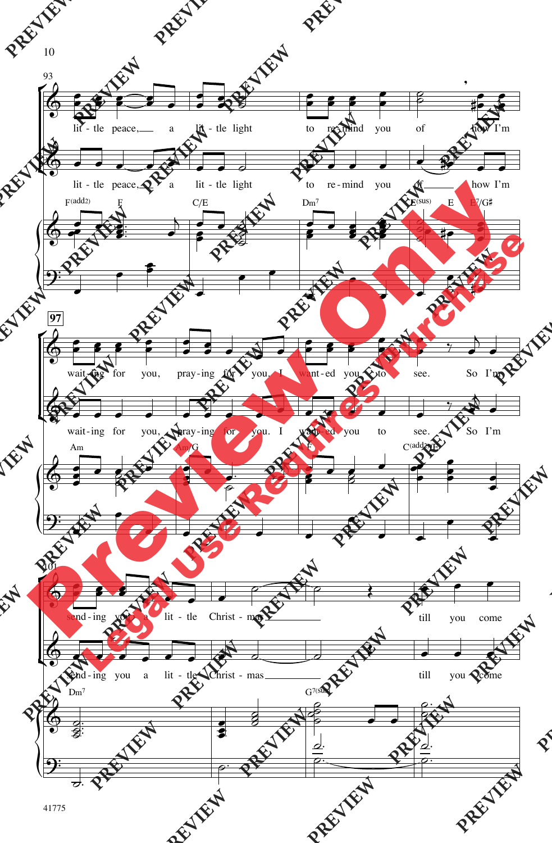